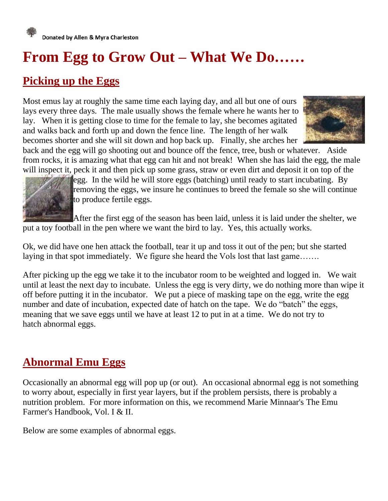

# **From Egg to Grow Out – What We Do……**

#### **Picking up the Eggs**

Most emus lay at roughly the same time each laying day, and all but one of ours lays every three days. The male usually shows the female where he wants her to lay. When it is getting close to time for the female to lay, she becomes agitated and walks back and forth up and down the fence line. The length of her walk becomes shorter and she will sit down and hop back up. Finally, she arches her



back and the egg will go shooting out and bounce off the fence, tree, bush or whatever. Aside from rocks, it is amazing what that egg can hit and not break! When she has laid the egg, the male will inspect it, peck it and then pick up some grass, straw or even dirt and deposit it on top of the l[e](http://www.redoakfarm.com/images/Sitting2.jpg)gg. In the wild he will store eggs (batching) until ready to start incubating. By removing the eggs, we insure he continues to breed the female so she will continue to produce fertile eggs.

After the first egg of the season has been laid, unless it is laid under the shelter, we put a toy football in the pen where we want the bird to lay. Yes, this actually works.

Ok, we did have one hen attack the football, tear it up and toss it out of the pen; but she started laying in that spot immediately. We figure she heard the Vols lost that last game…….

After picking up the egg we take it to the incubator room to be weighted and logged in. We wait until at least the next day to incubate. Unless the egg is very dirty, we do nothing more than wipe it off before putting it in the incubator. We put a piece of masking tape on the egg, write the egg number and date of incubation, expected date of hatch on the tape. We do "batch" the eggs, meaning that we save eggs until we have at least 12 to put in at a time. We do not try to hatch [abnormal eggs.](http://www.redoakfarm.com/abnormal_eggs.htm)

#### **Abnormal Emu Eggs**

Occasionally an abnormal egg will pop up (or out). An occasional abnormal egg is not something to worry about, especially in first year layers, but if the problem persists, there is probably a nutrition problem. For more information on this, we recommend Marie Minnaar's The Emu Farmer's Handbook, Vol. I & II.

Below are some examples of abnormal eggs.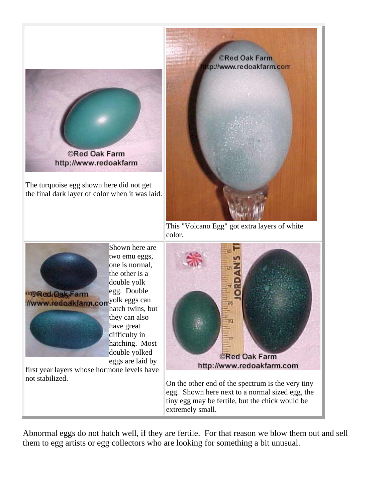

Abnormal eggs do not hatch well, if they are fertile. For that reason we blow them out and sell them to egg artists or egg collectors who are looking for something a bit unusual.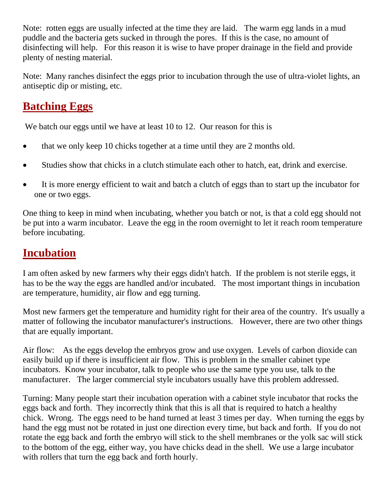Note: rotten eggs are usually infected at the time they are laid. The warm egg lands in a mud puddle and the bacteria gets sucked in through the pores. If this is the case, no amount of disinfecting will help. For this reason it is wise to have proper drainage in the field and provide plenty of nesting material.

Note: Many ranches disinfect the eggs prior to incubation through the use of ultra-violet lights, an antiseptic dip or misting, etc.

#### **Batching Eggs**

We batch our eggs until we have at least 10 to 12. Our reason for this is

- that we only keep 10 chicks together at a time until they are 2 months old.
- Studies show that chicks in a clutch stimulate each other to hatch, eat, drink and exercise.
- It is more energy efficient to wait and batch a clutch of eggs than to start up the incubator for one or two eggs.

One thing to keep in mind when incubating, whether you batch or not, is that a cold egg should not be put into a warm incubator. Leave the egg in the room overnight to let it reach room temperature before incubating.

# **Incubation**

I am often asked by new farmers why their eggs didn't hatch. If the problem is not sterile eggs, it has to be the way the eggs are handled and/or incubated. The most important things in incubation are temperature, humidity, air flow and egg turning.

Most new farmers get the temperature and humidity right for their area of the country. It's usually a matter of following the incubator manufacturer's instructions. However, there are two other things that are equally important.

Air flow: As the eggs develop the embryos grow and use oxygen. Levels of carbon dioxide can easily build up if there is insufficient air flow. This is problem in the smaller cabinet type incubators. Know your incubator, talk to people who use the same type you use, talk to the manufacturer. The larger commercial style incubators usually have this problem addressed.

Turning: Many people start their incubation operation with a cabinet style incubator that rocks the eggs back and forth. They incorrectly think that this is all that is required to hatch a healthy chick. Wrong. The eggs need to be hand turned at least 3 times per day. When turning the eggs by hand the egg must not be rotated in just one direction every time, but back and forth. If you do not rotate the egg back and forth the embryo will stick to the shell membranes or the yolk sac will stick to the bottom of the egg, either way, you have chicks dead in the shell. We use a large incubator with rollers that turn the egg back and forth hourly.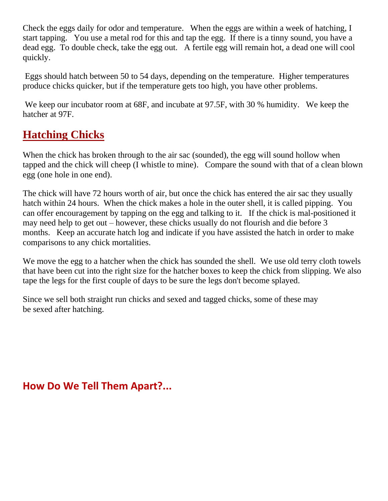Check the eggs daily for odor and temperature. When the eggs are within a week of hatching, I start tapping. You use a metal rod for this and tap the egg. If there is a tinny sound, you have a dead egg. To double check, take the egg out. A fertile egg will remain hot, a dead one will cool quickly.

Eggs should hatch between 50 to 54 days, depending on the temperature. Higher temperatures produce chicks quicker, but if the temperature gets too high, you have other problems.

We keep our incubator room at 68F, and incubate at 97.5F, with 30 % humidity. We keep the hatcher at 97F.

#### **Hatching Chicks**

When the chick has broken through to the air sac (sounded), the egg will sound hollow when tapped and the chick will cheep (I whistle to mine). Compare the sound with that of a clean blown egg (one hole in one end).

The chick will have 72 hours worth of air, but once the chick has entered the air sac they usually hatch within 24 hours. When the chick makes a hole in the outer shell, it is called pipping. You can offer encouragement by tapping on the egg and talking to it. If the chick is mal-positioned it may need help to get out – however, these chicks usually do not flourish and die before 3 months. Keep an accurate hatch log and indicate if you have assisted the hatch in order to make comparisons to any chick mortalities.

We move the egg to a hatcher when the chick has sounded the shell. We use old terry cloth towels that have been cut into the right size for the hatcher boxes to keep the chick from slipping. We also tape the legs for the first couple of days to be sure the legs don't become splayed.

Since we sell both straight run chicks and sexed and tagged chicks, some of these may be [sexed](http://www.redoakfarm.com/how_do_we_tell_them_apart.htm) after hatching.

**How Do We Tell Them Apart?...**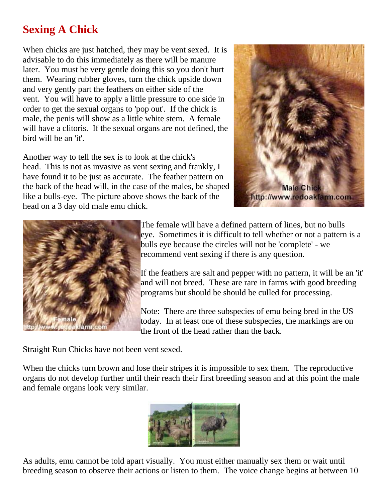#### **Sexing A Chick**

When chicks are just hatched, they may be vent sexed. It is advisable to do this immediately as there will be manure later. You must be very gentle doing this so you don't hurt them. Wearing rubber gloves, turn the chick upside down and very gently part the feathers on either side of the vent. You will have to apply a little pressure to one side in order to get the sexual organs to 'pop out'. If the chick is male, the penis will show as a little white stem. A female will have a clitoris. If the sexual organs are not defined, the bird will be an 'it'.

Another way to tell the sex is to look at the chick's head. This is not as invasive as vent sexing and frankly, I have found it to be just as accurate. The feather pattern on the back of the head will, in the case of the males, be shaped like a bulls-eye. The picture above shows the back of the head on a 3 day old male emu chick.





The female will have a defined pattern of lines, but no bulls eye. Sometimes it is difficult to tell whether or not a pattern is a bulls eye because the circles will not be 'complete' - we recommend vent sexing if there is any question.

If the feathers are salt and pepper with no pattern, it will be an 'it' and will not breed. These are rare in farms with good breeding programs but should be should be culled for processing.

Note: There are three subspecies of emu being bred in the US today. In at least one of these subspecies, the markings are on the front of the head rather than the back.

Straight Run Chicks have not been vent sexed.

When the chicks turn brown and lose their stripes it is impossible to sex them. The reproductive organs do not develop further until their reach their first breeding season and at this point the male and female organs look very similar.



As adults, emu cannot be told apart visually. You must either manually sex them or wait until breeding season to observe their actions or listen to them. The voice change begins at between 10